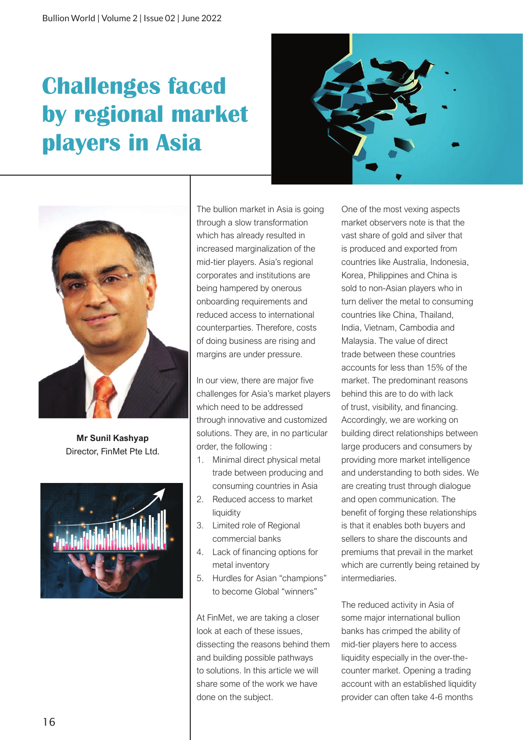## **Challenges faced by regional market players in Asia**





**Mr Sunil Kashyap** Director, FinMet Pte Ltd.



The bullion market in Asia is going through a slow transformation which has already resulted in increased marginalization of the mid-tier players. Asia's regional corporates and institutions are being hampered by onerous onboarding requirements and reduced access to international counterparties. Therefore, costs of doing business are rising and margins are under pressure.

In our view, there are major five challenges for Asia's market players which need to be addressed through innovative and customized solutions. They are, in no particular order, the following :

- 1. Minimal direct physical metal trade between producing and consuming countries in Asia
- 2. Reduced access to market liquidity
- 3. Limited role of Regional commercial banks
- 4. Lack of financing options for metal inventory
- 5. Hurdles for Asian "champions" to become Global "winners"

At FinMet, we are taking a closer look at each of these issues, dissecting the reasons behind them and building possible pathways to solutions. In this article we will share some of the work we have done on the subject.

One of the most vexing aspects market observers note is that the vast share of gold and silver that is produced and exported from countries like Australia, Indonesia, Korea, Philippines and China is sold to non-Asian players who in turn deliver the metal to consuming countries like China, Thailand, India, Vietnam, Cambodia and Malaysia. The value of direct trade between these countries accounts for less than 15% of the market. The predominant reasons behind this are to do with lack of trust, visibility, and financing. Accordingly, we are working on building direct relationships between large producers and consumers by providing more market intelligence and understanding to both sides. We are creating trust through dialogue and open communication. The benefit of forging these relationships is that it enables both buyers and sellers to share the discounts and premiums that prevail in the market which are currently being retained by intermediaries.

The reduced activity in Asia of some major international bullion banks has crimped the ability of mid-tier players here to access liquidity especially in the over-thecounter market. Opening a trading account with an established liquidity provider can often take 4-6 months